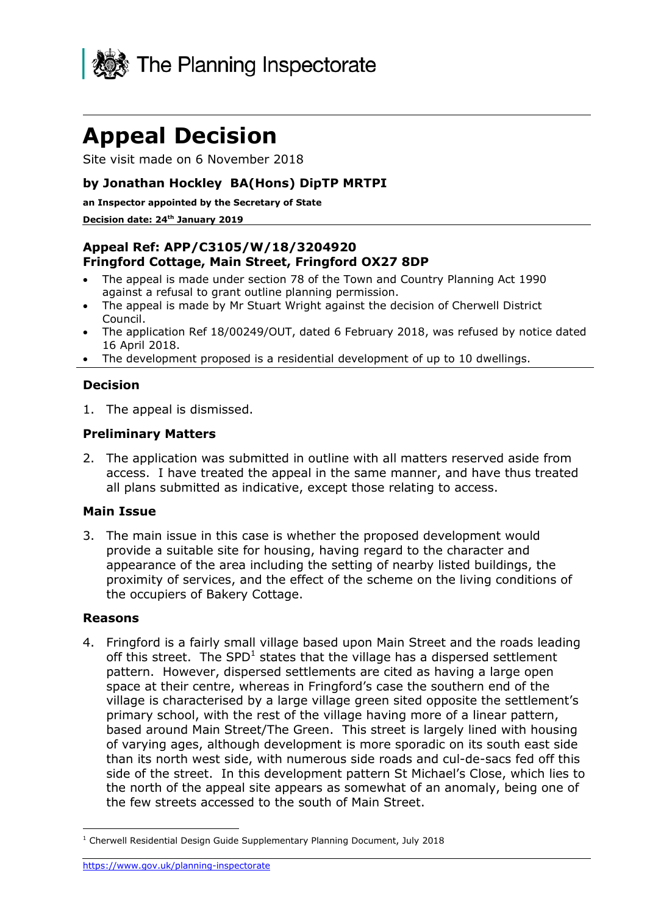

# **Appeal Decision**

Site visit made on 6 November 2018

## **by Jonathan Hockley BA(Hons) DipTP MRTPI**

**an Inspector appointed by the Secretary of State**

#### **Decision date: 24th January 2019**

## **Appeal Ref: APP/C3105/W/18/3204920 Fringford Cottage, Main Street, Fringford OX27 8DP**

- The appeal is made under section 78 of the Town and Country Planning Act 1990 against a refusal to grant outline planning permission.
- The appeal is made by Mr Stuart Wright against the decision of Cherwell District Council.
- The application Ref 18/00249/OUT, dated 6 February 2018, was refused by notice dated 16 April 2018.
- The development proposed is a residential development of up to 10 dwellings.

### **Decision**

1. The appeal is dismissed.

#### **Preliminary Matters**

2. The application was submitted in outline with all matters reserved aside from access. I have treated the appeal in the same manner, and have thus treated all plans submitted as indicative, except those relating to access.

#### **Main Issue**

3. The main issue in this case is whether the proposed development would provide a suitable site for housing, having regard to the character and appearance of the area including the setting of nearby listed buildings, the proximity of services, and the effect of the scheme on the living conditions of the occupiers of Bakery Cottage.

#### **Reasons**

4. Fringford is a fairly small village based upon Main Street and the roads leading off this street. The SPD<sup>1</sup> states that the village has a dispersed settlement pattern. However, dispersed settlements are cited as having a large open space at their centre, whereas in Fringford's case the southern end of the village is characterised by a large village green sited opposite the settlement's primary school, with the rest of the village having more of a linear pattern, based around Main Street/The Green. This street is largely lined with housing of varying ages, although development is more sporadic on its south east side than its north west side, with numerous side roads and cul-de-sacs fed off this side of the street. In this development pattern St Michael's Close, which lies to the north of the appeal site appears as somewhat of an anomaly, being one of the few streets accessed to the south of Main Street.

j <sup>1</sup> Cherwell Residential Design Guide Supplementary Planning Document, July 2018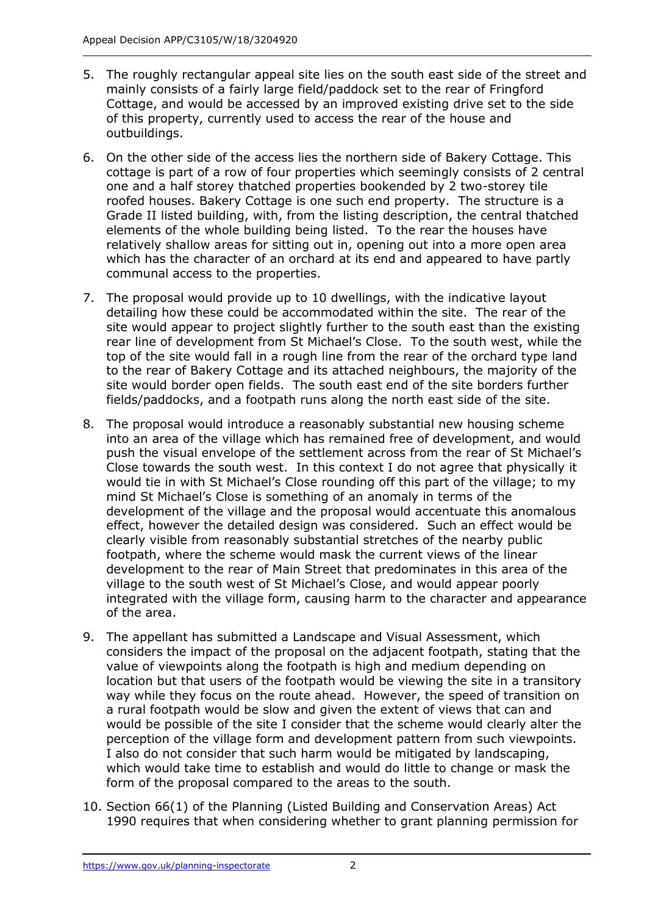- 5. The roughly rectangular appeal site lies on the south east side of the street and mainly consists of a fairly large field/paddock set to the rear of Fringford Cottage, and would be accessed by an improved existing drive set to the side of this property, currently used to access the rear of the house and outbuildings.
- 6. On the other side of the access lies the northern side of Bakery Cottage. This cottage is part of a row of four properties which seemingly consists of 2 central one and a half storey thatched properties bookended by 2 two-storey tile roofed houses. Bakery Cottage is one such end property. The structure is a Grade II listed building, with, from the listing description, the central thatched elements of the whole building being listed. To the rear the houses have relatively shallow areas for sitting out in, opening out into a more open area which has the character of an orchard at its end and appeared to have partly communal access to the properties.
- 7. The proposal would provide up to 10 dwellings, with the indicative layout detailing how these could be accommodated within the site. The rear of the site would appear to project slightly further to the south east than the existing rear line of development from St Michael's Close. To the south west, while the top of the site would fall in a rough line from the rear of the orchard type land to the rear of Bakery Cottage and its attached neighbours, the majority of the site would border open fields. The south east end of the site borders further fields/paddocks, and a footpath runs along the north east side of the site.
- 8. The proposal would introduce a reasonably substantial new housing scheme into an area of the village which has remained free of development, and would push the visual envelope of the settlement across from the rear of St Michael's Close towards the south west. In this context I do not agree that physically it would tie in with St Michael's Close rounding off this part of the village; to my mind St Michael's Close is something of an anomaly in terms of the development of the village and the proposal would accentuate this anomalous effect, however the detailed design was considered. Such an effect would be clearly visible from reasonably substantial stretches of the nearby public footpath, where the scheme would mask the current views of the linear development to the rear of Main Street that predominates in this area of the village to the south west of St Michael's Close, and would appear poorly integrated with the village form, causing harm to the character and appearance of the area.
- 9. The appellant has submitted a Landscape and Visual Assessment, which considers the impact of the proposal on the adjacent footpath, stating that the value of viewpoints along the footpath is high and medium depending on location but that users of the footpath would be viewing the site in a transitory way while they focus on the route ahead. However, the speed of transition on a rural footpath would be slow and given the extent of views that can and would be possible of the site I consider that the scheme would clearly alter the perception of the village form and development pattern from such viewpoints. I also do not consider that such harm would be mitigated by landscaping, which would take time to establish and would do little to change or mask the form of the proposal compared to the areas to the south.
- 10. Section 66(1) of the Planning (Listed Building and Conservation Areas) Act 1990 requires that when considering whether to grant planning permission for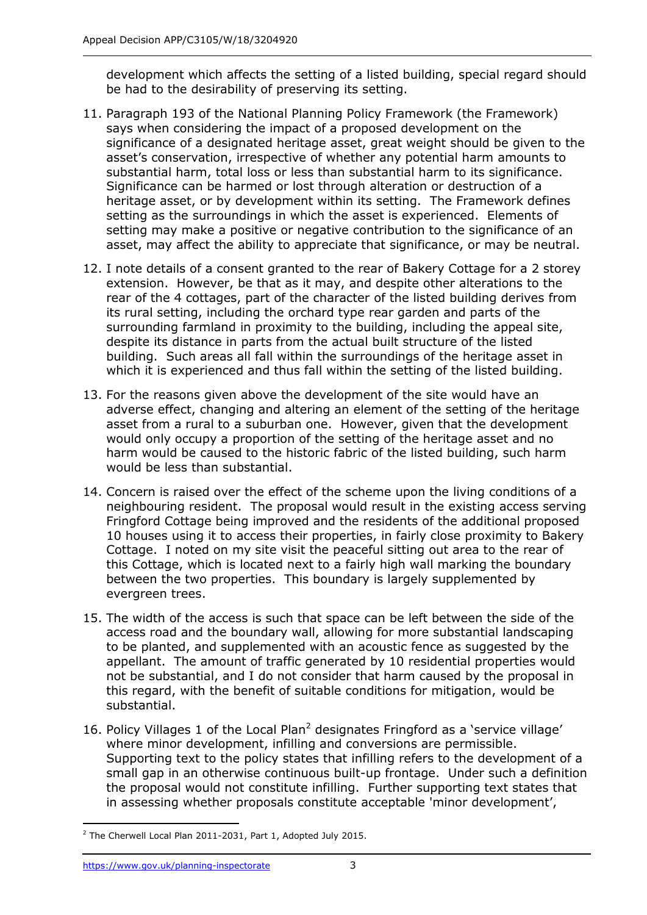development which affects the setting of a listed building, special regard should be had to the desirability of preserving its setting.

- 11. Paragraph 193 of the National Planning Policy Framework (the Framework) says when considering the impact of a proposed development on the significance of a designated heritage asset, great weight should be given to the asset's conservation, irrespective of whether any potential harm amounts to substantial harm, total loss or less than substantial harm to its significance. Significance can be harmed or lost through alteration or destruction of a heritage asset, or by development within its setting. The Framework defines setting as the surroundings in which the asset is experienced. Elements of setting may make a positive or negative contribution to the significance of an asset, may affect the ability to appreciate that significance, or may be neutral.
- 12. I note details of a consent granted to the rear of Bakery Cottage for a 2 storey extension. However, be that as it may, and despite other alterations to the rear of the 4 cottages, part of the character of the listed building derives from its rural setting, including the orchard type rear garden and parts of the surrounding farmland in proximity to the building, including the appeal site, despite its distance in parts from the actual built structure of the listed building. Such areas all fall within the surroundings of the heritage asset in which it is experienced and thus fall within the setting of the listed building.
- 13. For the reasons given above the development of the site would have an adverse effect, changing and altering an element of the setting of the heritage asset from a rural to a suburban one. However, given that the development would only occupy a proportion of the setting of the heritage asset and no harm would be caused to the historic fabric of the listed building, such harm would be less than substantial.
- 14. Concern is raised over the effect of the scheme upon the living conditions of a neighbouring resident. The proposal would result in the existing access serving Fringford Cottage being improved and the residents of the additional proposed 10 houses using it to access their properties, in fairly close proximity to Bakery Cottage. I noted on my site visit the peaceful sitting out area to the rear of this Cottage, which is located next to a fairly high wall marking the boundary between the two properties. This boundary is largely supplemented by evergreen trees.
- 15. The width of the access is such that space can be left between the side of the access road and the boundary wall, allowing for more substantial landscaping to be planted, and supplemented with an acoustic fence as suggested by the appellant. The amount of traffic generated by 10 residential properties would not be substantial, and I do not consider that harm caused by the proposal in this regard, with the benefit of suitable conditions for mitigation, would be substantial.
- 16. Policy Villages 1 of the Local Plan<sup>2</sup> designates Fringford as a 'service village' where minor development, infilling and conversions are permissible. Supporting text to the policy states that infilling refers to the development of a small gap in an otherwise continuous built-up frontage. Under such a definition the proposal would not constitute infilling. Further supporting text states that in assessing whether proposals constitute acceptable 'minor development',

<sup>-</sup><sup>2</sup> The Cherwell Local Plan 2011-2031, Part 1, Adopted July 2015.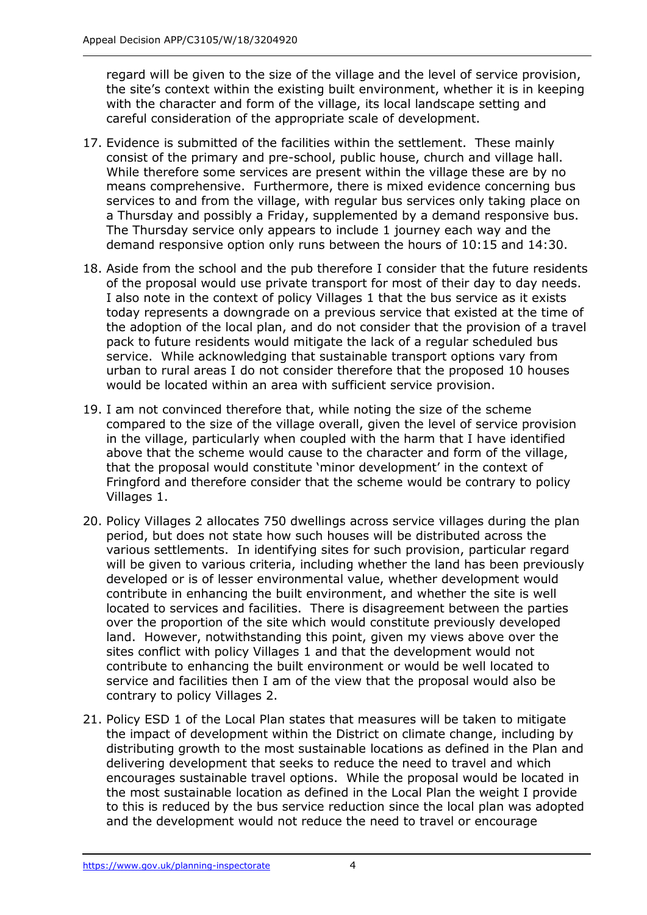regard will be given to the size of the village and the level of service provision, the site's context within the existing built environment, whether it is in keeping with the character and form of the village, its local landscape setting and careful consideration of the appropriate scale of development.

- 17. Evidence is submitted of the facilities within the settlement. These mainly consist of the primary and pre-school, public house, church and village hall. While therefore some services are present within the village these are by no means comprehensive. Furthermore, there is mixed evidence concerning bus services to and from the village, with regular bus services only taking place on a Thursday and possibly a Friday, supplemented by a demand responsive bus. The Thursday service only appears to include 1 journey each way and the demand responsive option only runs between the hours of 10:15 and 14:30.
- 18. Aside from the school and the pub therefore I consider that the future residents of the proposal would use private transport for most of their day to day needs. I also note in the context of policy Villages 1 that the bus service as it exists today represents a downgrade on a previous service that existed at the time of the adoption of the local plan, and do not consider that the provision of a travel pack to future residents would mitigate the lack of a regular scheduled bus service. While acknowledging that sustainable transport options vary from urban to rural areas I do not consider therefore that the proposed 10 houses would be located within an area with sufficient service provision.
- 19. I am not convinced therefore that, while noting the size of the scheme compared to the size of the village overall, given the level of service provision in the village, particularly when coupled with the harm that I have identified above that the scheme would cause to the character and form of the village, that the proposal would constitute 'minor development' in the context of Fringford and therefore consider that the scheme would be contrary to policy Villages 1.
- 20. Policy Villages 2 allocates 750 dwellings across service villages during the plan period, but does not state how such houses will be distributed across the various settlements. In identifying sites for such provision, particular regard will be given to various criteria, including whether the land has been previously developed or is of lesser environmental value, whether development would contribute in enhancing the built environment, and whether the site is well located to services and facilities. There is disagreement between the parties over the proportion of the site which would constitute previously developed land. However, notwithstanding this point, given my views above over the sites conflict with policy Villages 1 and that the development would not contribute to enhancing the built environment or would be well located to service and facilities then I am of the view that the proposal would also be contrary to policy Villages 2.
- 21. Policy ESD 1 of the Local Plan states that measures will be taken to mitigate the impact of development within the District on climate change, including by distributing growth to the most sustainable locations as defined in the Plan and delivering development that seeks to reduce the need to travel and which encourages sustainable travel options. While the proposal would be located in the most sustainable location as defined in the Local Plan the weight I provide to this is reduced by the bus service reduction since the local plan was adopted and the development would not reduce the need to travel or encourage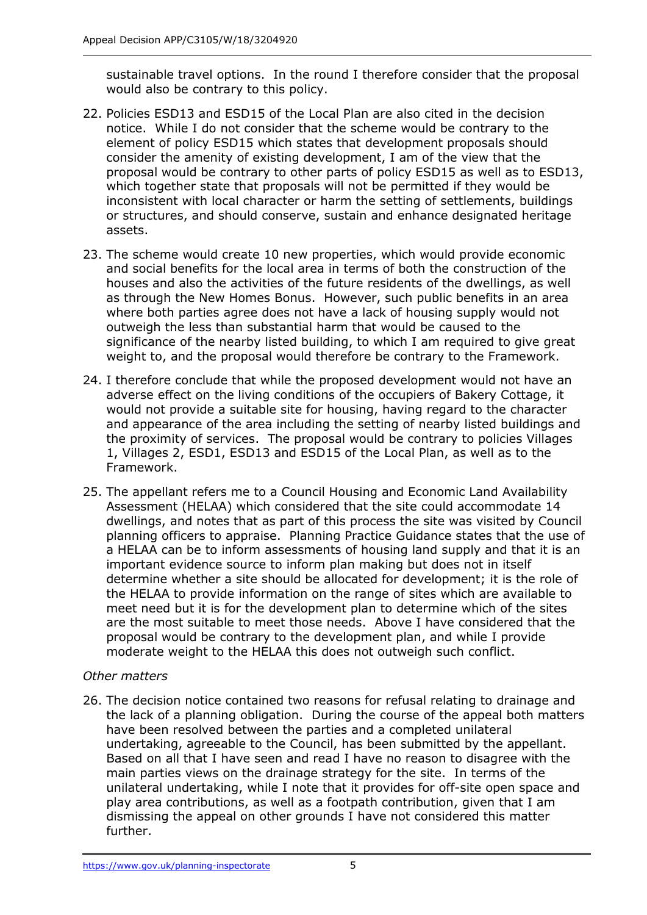sustainable travel options. In the round I therefore consider that the proposal would also be contrary to this policy.

- 22. Policies ESD13 and ESD15 of the Local Plan are also cited in the decision notice. While I do not consider that the scheme would be contrary to the element of policy ESD15 which states that development proposals should consider the amenity of existing development, I am of the view that the proposal would be contrary to other parts of policy ESD15 as well as to ESD13, which together state that proposals will not be permitted if they would be inconsistent with local character or harm the setting of settlements, buildings or structures, and should conserve, sustain and enhance designated heritage assets.
- 23. The scheme would create 10 new properties, which would provide economic and social benefits for the local area in terms of both the construction of the houses and also the activities of the future residents of the dwellings, as well as through the New Homes Bonus. However, such public benefits in an area where both parties agree does not have a lack of housing supply would not outweigh the less than substantial harm that would be caused to the significance of the nearby listed building, to which I am required to give great weight to, and the proposal would therefore be contrary to the Framework.
- 24. I therefore conclude that while the proposed development would not have an adverse effect on the living conditions of the occupiers of Bakery Cottage, it would not provide a suitable site for housing, having regard to the character and appearance of the area including the setting of nearby listed buildings and the proximity of services. The proposal would be contrary to policies Villages 1, Villages 2, ESD1, ESD13 and ESD15 of the Local Plan, as well as to the Framework.
- 25. The appellant refers me to a Council Housing and Economic Land Availability Assessment (HELAA) which considered that the site could accommodate 14 dwellings, and notes that as part of this process the site was visited by Council planning officers to appraise. Planning Practice Guidance states that the use of a HELAA can be to inform assessments of housing land supply and that it is an important evidence source to inform plan making but does not in itself determine whether a site should be allocated for development; it is the role of the HELAA to provide information on the range of sites which are available to meet need but it is for the development plan to determine which of the sites are the most suitable to meet those needs. Above I have considered that the proposal would be contrary to the development plan, and while I provide moderate weight to the HELAA this does not outweigh such conflict.

## *Other matters*

26. The decision notice contained two reasons for refusal relating to drainage and the lack of a planning obligation. During the course of the appeal both matters have been resolved between the parties and a completed unilateral undertaking, agreeable to the Council, has been submitted by the appellant. Based on all that I have seen and read I have no reason to disagree with the main parties views on the drainage strategy for the site. In terms of the unilateral undertaking, while I note that it provides for off-site open space and play area contributions, as well as a footpath contribution, given that I am dismissing the appeal on other grounds I have not considered this matter further.